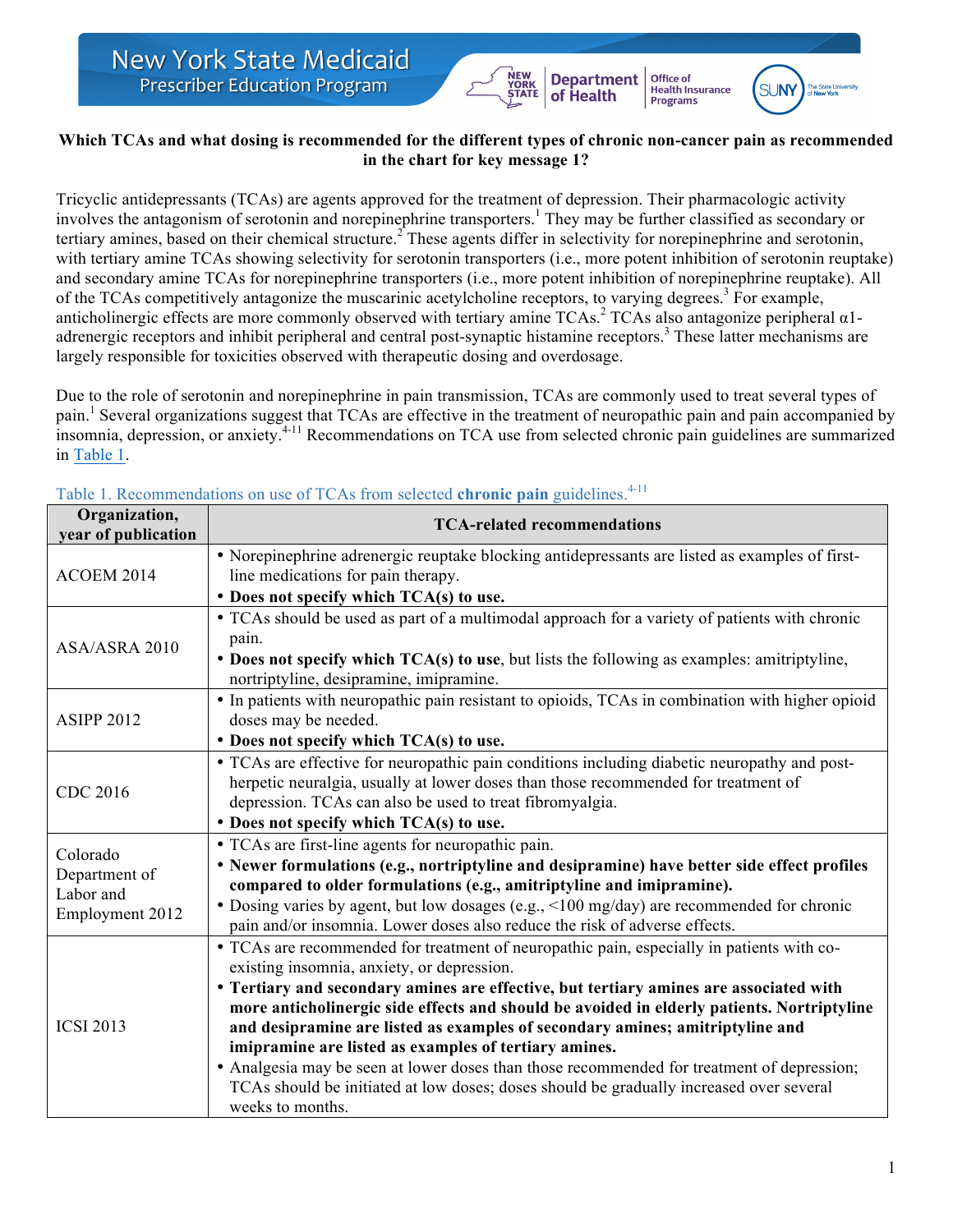### **Which TCAs and what dosing is recommended for the different types of chronic non-cancer pain as recommended in the chart for key message 1?**

YORK<br>STATE

**Department** 

of Health

Office of

Health Insurance<br>Programs

 $\mathbb{S}$ l $\mathbb{N}$ 

Tricyclic antidepressants (TCAs) are agents approved for the treatment of depression. Their pharmacologic activity involves the antagonism of serotonin and norepinephrine transporters. <sup>1</sup> They may be further classified as secondary or tertiary amines, based on their chemical structure.<sup>2</sup> These agents differ in selectivity for norepinephrine and serotonin, with tertiary amine TCAs showing selectivity for serotonin transporters (i.e., more potent inhibition of serotonin reuptake) and secondary amine TCAs for norepinephrine transporters (i.e., more potent inhibition of norepinephrine reuptake). All of the TCAs competitively antagonize the muscarinic acetylcholine receptors, to varying degrees.<sup>3</sup> For example, anticholinergic effects are more commonly observed with tertiary amine TCAs. <sup>2</sup> TCAs also antagonize peripheral α1 adrenergic receptors and inhibit peripheral and central post-synaptic histamine receptors.<sup>3</sup> These latter mechanisms are largely responsible for toxicities observed with therapeutic dosing and overdosage.

Due to the role of serotonin and norepinephrine in pain transmission, TCAs are commonly used to treat several types of pain.<sup>1</sup> Several organizations suggest that TCAs are effective in the treatment of neuropathic pain and pain accompanied by insomnia, depression, or anxiety. 4-11 Recommendations on TCA use from selected chronic pain guidelines are summarized in Table 1.

| Organization,<br>year of publication                      | <b>TCA-related recommendations</b>                                                                                                                                                                                                                                                                                                                                                                                                                                                                                                                                                                                                                                                     |
|-----------------------------------------------------------|----------------------------------------------------------------------------------------------------------------------------------------------------------------------------------------------------------------------------------------------------------------------------------------------------------------------------------------------------------------------------------------------------------------------------------------------------------------------------------------------------------------------------------------------------------------------------------------------------------------------------------------------------------------------------------------|
| ACOEM 2014                                                | • Norepinephrine adrenergic reuptake blocking antidepressants are listed as examples of first-<br>line medications for pain therapy.                                                                                                                                                                                                                                                                                                                                                                                                                                                                                                                                                   |
|                                                           | • Does not specify which TCA(s) to use.                                                                                                                                                                                                                                                                                                                                                                                                                                                                                                                                                                                                                                                |
| ASA/ASRA 2010                                             | • TCAs should be used as part of a multimodal approach for a variety of patients with chronic<br>pain.<br>• Does not specify which TCA(s) to use, but lists the following as examples: amitriptyline,<br>nortriptyline, desipramine, imipramine.                                                                                                                                                                                                                                                                                                                                                                                                                                       |
| <b>ASIPP 2012</b>                                         | • In patients with neuropathic pain resistant to opioids, TCAs in combination with higher opioid<br>doses may be needed.<br>• Does not specify which TCA(s) to use.                                                                                                                                                                                                                                                                                                                                                                                                                                                                                                                    |
| CDC 2016                                                  | • TCAs are effective for neuropathic pain conditions including diabetic neuropathy and post-<br>herpetic neuralgia, usually at lower doses than those recommended for treatment of<br>depression. TCAs can also be used to treat fibromyalgia.<br>• Does not specify which TCA(s) to use.                                                                                                                                                                                                                                                                                                                                                                                              |
| Colorado<br>Department of<br>Labor and<br>Employment 2012 | • TCAs are first-line agents for neuropathic pain.<br>• Newer formulations (e.g., nortriptyline and desipramine) have better side effect profiles<br>compared to older formulations (e.g., amitriptyline and imipramine).<br>• Dosing varies by agent, but low dosages (e.g., <100 mg/day) are recommended for chronic<br>pain and/or insomnia. Lower doses also reduce the risk of adverse effects.                                                                                                                                                                                                                                                                                   |
| <b>ICSI 2013</b>                                          | • TCAs are recommended for treatment of neuropathic pain, especially in patients with co-<br>existing insomnia, anxiety, or depression.<br>• Tertiary and secondary amines are effective, but tertiary amines are associated with<br>more anticholinergic side effects and should be avoided in elderly patients. Nortriptyline<br>and desipramine are listed as examples of secondary amines; amitriptyline and<br>imipramine are listed as examples of tertiary amines.<br>• Analgesia may be seen at lower doses than those recommended for treatment of depression;<br>TCAs should be initiated at low doses; doses should be gradually increased over several<br>weeks to months. |

Table 1. Recommendations on use of TCAs from selected **chronic pain** guidelines.<sup>4-11</sup>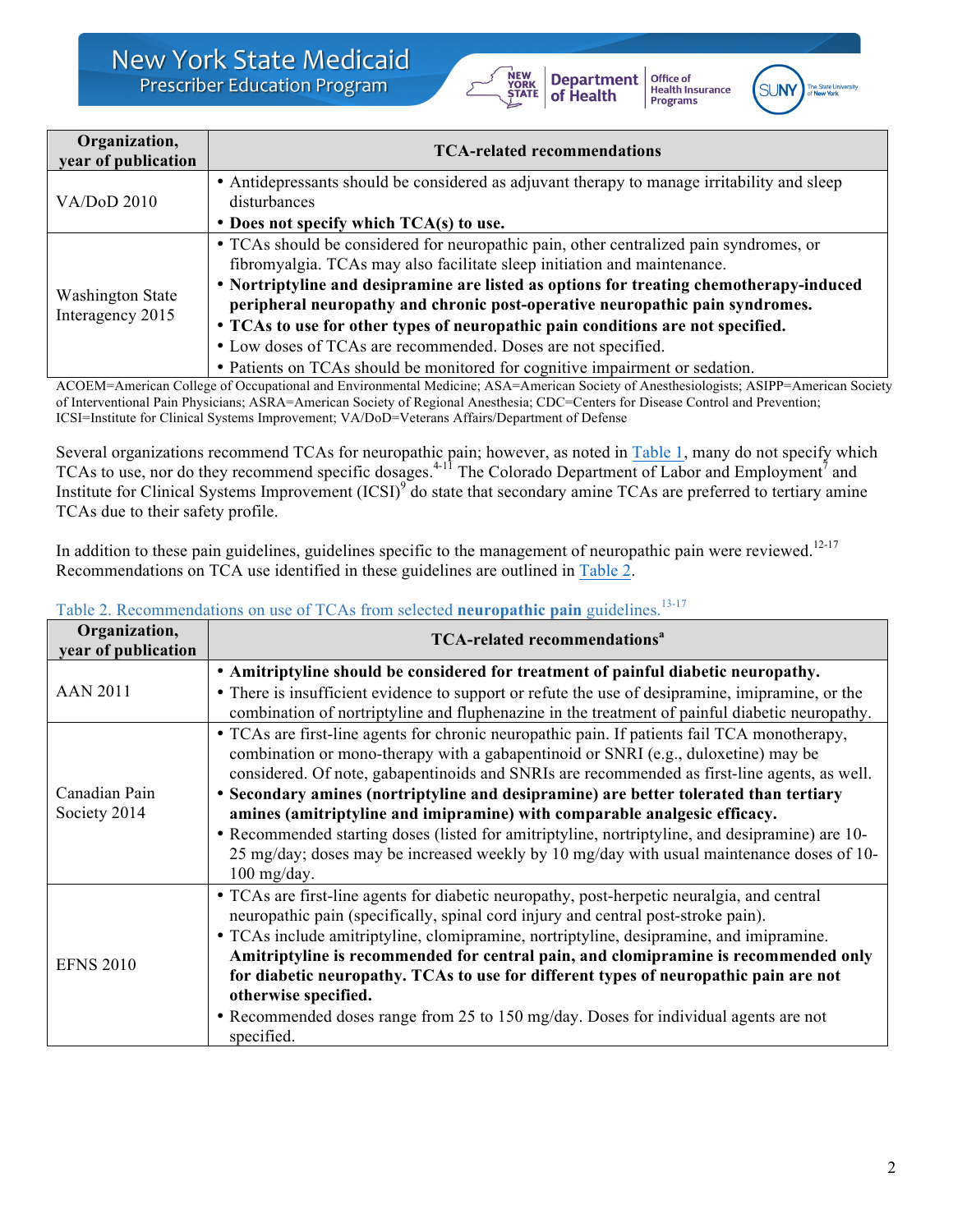

Office of **Drifte of**<br>Health Insurance<br>Programs



| Organization,<br>year of publication        | <b>TCA-related recommendations</b>                                                                                                                                                                                                                                                                                                                                                                                                                                                                |
|---------------------------------------------|---------------------------------------------------------------------------------------------------------------------------------------------------------------------------------------------------------------------------------------------------------------------------------------------------------------------------------------------------------------------------------------------------------------------------------------------------------------------------------------------------|
| <b>VA/DoD 2010</b>                          | • Antidepressants should be considered as adjuvant therapy to manage irritability and sleep<br>disturbances                                                                                                                                                                                                                                                                                                                                                                                       |
|                                             | $\bullet$ Does not specify which TCA(s) to use.                                                                                                                                                                                                                                                                                                                                                                                                                                                   |
| <b>Washington State</b><br>Interagency 2015 | • TCAs should be considered for neuropathic pain, other centralized pain syndromes, or<br>fibromyalgia. TCAs may also facilitate sleep initiation and maintenance.<br>• Nortriptyline and desipramine are listed as options for treating chemotherapy-induced<br>peripheral neuropathy and chronic post-operative neuropathic pain syndromes.<br>• TCAs to use for other types of neuropathic pain conditions are not specified.<br>• Low doses of TCAs are recommended. Doses are not specified. |
|                                             | • Patients on TCAs should be monitored for cognitive impairment or sedation.                                                                                                                                                                                                                                                                                                                                                                                                                      |

ACOEM=American College of Occupational and Environmental Medicine; ASA=American Society of Anesthesiologists; ASIPP=American Society of Interventional Pain Physicians; ASRA=American Society of Regional Anesthesia; CDC=Centers for Disease Control and Prevention; ICSI=Institute for Clinical Systems Improvement; VA/DoD=Veterans Affairs/Department of Defense

Several organizations recommend TCAs for neuropathic pain; however, as noted in Table 1, many do not specify which TCAs to use, nor do they recommend specific dosages.<sup>4-11</sup> The Colorado Department of Labor and Employment<sup>7</sup> and Institute for Clinical Systems Improvement (ICSI)<sup>9</sup> do state that secondary amine TCAs are preferred to tertiary amine TCAs due to their safety profile.

In addition to these pain guidelines, guidelines specific to the management of neuropathic pain were reviewed.<sup>12-17</sup> Recommendations on TCA use identified in these guidelines are outlined in Table 2.

| Organization,<br>year of publication | <b>TCA-related recommendations<sup>a</sup></b>                                                                                                                                                                                                                                                                                                                                                                                                                                                                                                                                                                                                                            |
|--------------------------------------|---------------------------------------------------------------------------------------------------------------------------------------------------------------------------------------------------------------------------------------------------------------------------------------------------------------------------------------------------------------------------------------------------------------------------------------------------------------------------------------------------------------------------------------------------------------------------------------------------------------------------------------------------------------------------|
| <b>AAN 2011</b>                      | • Amitriptyline should be considered for treatment of painful diabetic neuropathy.<br>• There is insufficient evidence to support or refute the use of desipramine, imipramine, or the<br>combination of nortriptyline and fluphenazine in the treatment of painful diabetic neuropathy.                                                                                                                                                                                                                                                                                                                                                                                  |
| Canadian Pain<br>Society 2014        | • TCAs are first-line agents for chronic neuropathic pain. If patients fail TCA monotherapy,<br>combination or mono-therapy with a gabapentinoid or SNRI (e.g., duloxetine) may be<br>considered. Of note, gabapentinoids and SNRIs are recommended as first-line agents, as well.<br>• Secondary amines (nortriptyline and desipramine) are better tolerated than tertiary<br>amines (amitriptyline and imipramine) with comparable analgesic efficacy.<br>• Recommended starting doses (listed for amitriptyline, nortriptyline, and desipramine) are 10-<br>25 mg/day; doses may be increased weekly by 10 mg/day with usual maintenance doses of 10-<br>$100$ mg/day. |
| <b>EFNS 2010</b>                     | • TCAs are first-line agents for diabetic neuropathy, post-herpetic neuralgia, and central<br>neuropathic pain (specifically, spinal cord injury and central post-stroke pain).<br>• TCAs include amitriptyline, clomipramine, nortriptyline, desipramine, and imipramine.<br>Amitriptyline is recommended for central pain, and clomipramine is recommended only<br>for diabetic neuropathy. TCAs to use for different types of neuropathic pain are not<br>otherwise specified.<br>• Recommended doses range from 25 to 150 mg/day. Doses for individual agents are not<br>specified.                                                                                   |

### Table 2. Recommendations on use of TCAs from selected **neuropathic pain** guidelines.<sup>13-17</sup>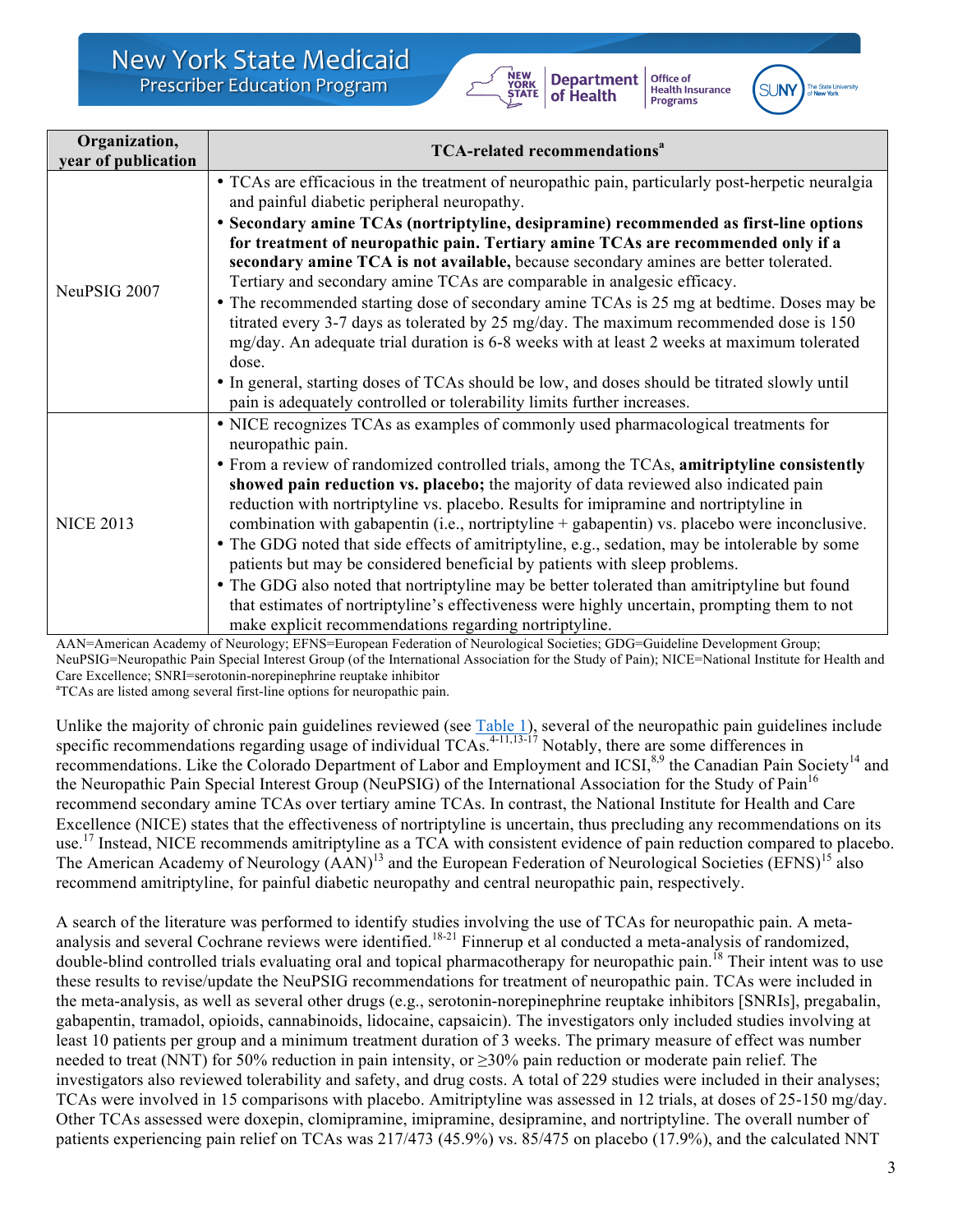

Office of **Health Insurance**<br>Programs



| Organization,<br>year of publication | <b>TCA-related recommendations<sup>a</sup></b>                                                                                                                                                                                                                                                                                                                                                                                                                                                                                                                                                                                                                                                                                                                                                                                                                                                                                                                             |
|--------------------------------------|----------------------------------------------------------------------------------------------------------------------------------------------------------------------------------------------------------------------------------------------------------------------------------------------------------------------------------------------------------------------------------------------------------------------------------------------------------------------------------------------------------------------------------------------------------------------------------------------------------------------------------------------------------------------------------------------------------------------------------------------------------------------------------------------------------------------------------------------------------------------------------------------------------------------------------------------------------------------------|
| NeuPSIG 2007                         | • TCAs are efficacious in the treatment of neuropathic pain, particularly post-herpetic neuralgia<br>and painful diabetic peripheral neuropathy.<br>• Secondary amine TCAs (nortriptyline, desipramine) recommended as first-line options<br>for treatment of neuropathic pain. Tertiary amine TCAs are recommended only if a<br>secondary amine TCA is not available, because secondary amines are better tolerated.<br>Tertiary and secondary amine TCAs are comparable in analgesic efficacy.<br>• The recommended starting dose of secondary amine TCAs is 25 mg at bedtime. Doses may be<br>titrated every 3-7 days as tolerated by 25 mg/day. The maximum recommended dose is 150<br>mg/day. An adequate trial duration is 6-8 weeks with at least 2 weeks at maximum tolerated<br>dose.<br>• In general, starting doses of TCAs should be low, and doses should be titrated slowly until<br>pain is adequately controlled or tolerability limits further increases. |
| <b>NICE 2013</b>                     | • NICE recognizes TCAs as examples of commonly used pharmacological treatments for<br>neuropathic pain.<br>• From a review of randomized controlled trials, among the TCAs, amitriptyline consistently<br>showed pain reduction vs. placebo; the majority of data reviewed also indicated pain<br>reduction with nortriptyline vs. placebo. Results for imipramine and nortriptyline in<br>combination with gabapentin (i.e., nortriptyline + gabapentin) vs. placebo were inconclusive.<br>• The GDG noted that side effects of amitriptyline, e.g., sedation, may be intolerable by some<br>patients but may be considered beneficial by patients with sleep problems.<br>• The GDG also noted that nortriptyline may be better tolerated than amitriptyline but found<br>that estimates of nortriptyline's effectiveness were highly uncertain, prompting them to not<br>make explicit recommendations regarding nortriptyline.                                         |

AAN=American Academy of Neurology; EFNS=European Federation of Neurological Societies; GDG=Guideline Development Group; NeuPSIG=Neuropathic Pain Special Interest Group (of the International Association for the Study of Pain); NICE=National Institute for Health and Care Excellence; SNRI=serotonin-norepinephrine reuptake inhibitor

<sup>a</sup>TCAs are listed among several first-line options for neuropathic pain.

Unlike the majority of chronic pain guidelines reviewed (see Table 1), several of the neuropathic pain guidelines include specific recommendations regarding usage of individual TCAs. $4-11,13-17$  Notably, there are some differences in recommendations. Like the Colorado Department of Labor and Employment and ICSI,<sup>8,9</sup> the Canadian Pain Society<sup>14</sup> and the Neuropathic Pain Special Interest Group (NeuPSIG) of the International Association for the Study of Pain<sup>16</sup> recommend secondary amine TCAs over tertiary amine TCAs. In contrast, the National Institute for Health and Care Excellence (NICE) states that the effectiveness of nortriptyline is uncertain, thus precluding any recommendations on its use.<sup>17</sup> Instead, NICE recommends amitriptyline as a TCA with consistent evidence of pain reduction compared to placebo. The American Academy of Neurology (AAN)<sup>13</sup> and the European Federation of Neurological Societies (EFNS)<sup>15</sup> also recommend amitriptyline, for painful diabetic neuropathy and central neuropathic pain, respectively.

A search of the literature was performed to identify studies involving the use of TCAs for neuropathic pain. A metaanalysis and several Cochrane reviews were identified.<sup>18-21</sup> Finnerup et al conducted a meta-analysis of randomized, double-blind controlled trials evaluating oral and topical pharmacotherapy for neuropathic pain.<sup>18</sup> Their intent was to use these results to revise/update the NeuPSIG recommendations for treatment of neuropathic pain. TCAs were included in the meta-analysis, as well as several other drugs (e.g., serotonin-norepinephrine reuptake inhibitors [SNRIs], pregabalin, gabapentin, tramadol, opioids, cannabinoids, lidocaine, capsaicin). The investigators only included studies involving at least 10 patients per group and a minimum treatment duration of 3 weeks. The primary measure of effect was number needed to treat (NNT) for 50% reduction in pain intensity, or ≥30% pain reduction or moderate pain relief. The investigators also reviewed tolerability and safety, and drug costs. A total of 229 studies were included in their analyses; TCAs were involved in 15 comparisons with placebo. Amitriptyline was assessed in 12 trials, at doses of 25-150 mg/day. Other TCAs assessed were doxepin, clomipramine, imipramine, desipramine, and nortriptyline. The overall number of patients experiencing pain relief on TCAs was 217/473 (45.9%) vs. 85/475 on placebo (17.9%), and the calculated NNT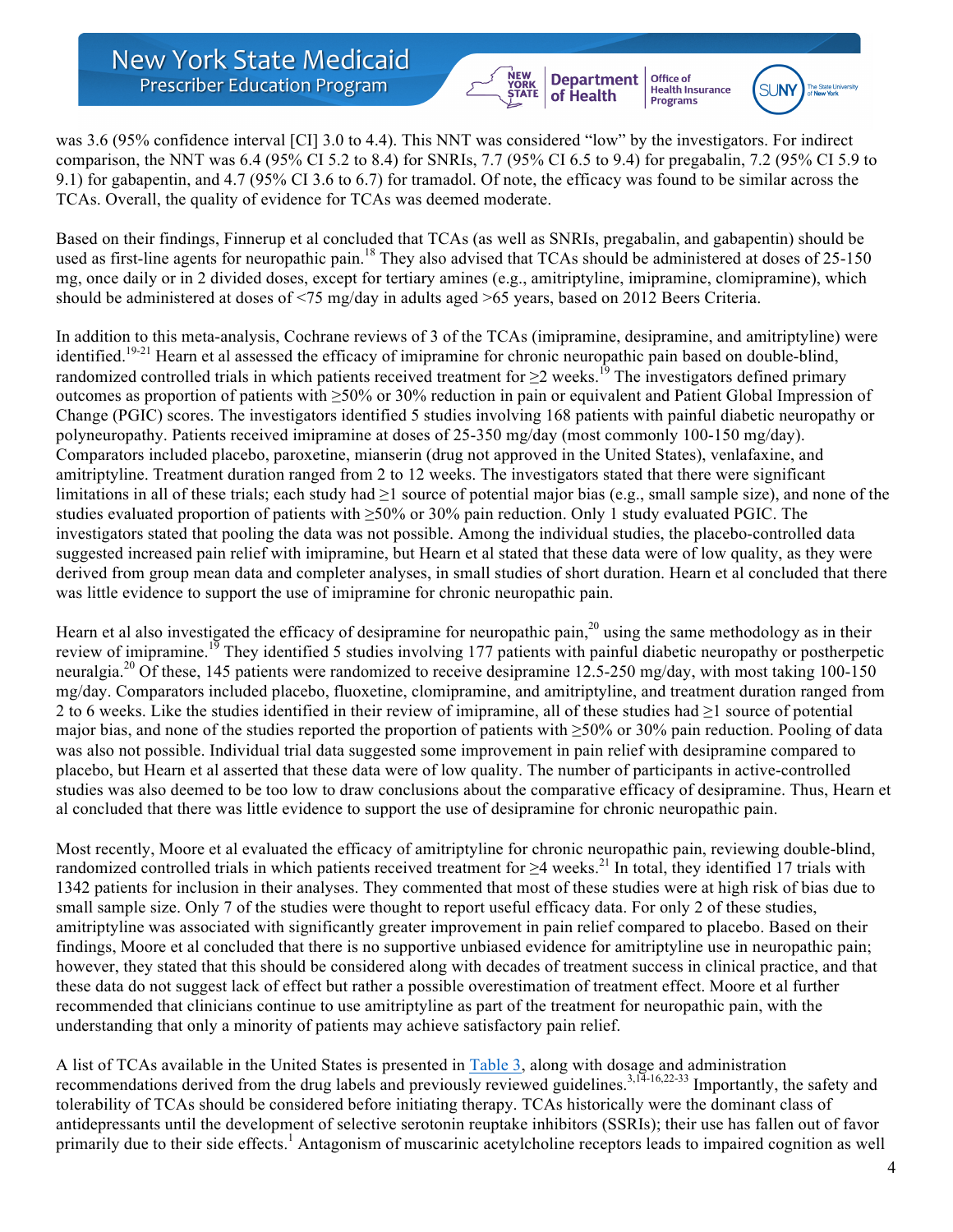**New York State Medicaid Prescriber Education Program** 

was 3.6 (95% confidence interval [CI] 3.0 to 4.4). This NNT was considered "low" by the investigators. For indirect comparison, the NNT was 6.4 (95% CI 5.2 to 8.4) for SNRIs, 7.7 (95% CI 6.5 to 9.4) for pregabalin, 7.2 (95% CI 5.9 to 9.1) for gabapentin, and 4.7 (95% CI 3.6 to 6.7) for tramadol. Of note, the efficacy was found to be similar across the TCAs. Overall, the quality of evidence for TCAs was deemed moderate.

YORK<br>STATE

**Department** 

of Health

Office of

**Health Insurance**<br>Programs

Based on their findings, Finnerup et al concluded that TCAs (as well as SNRIs, pregabalin, and gabapentin) should be used as first-line agents for neuropathic pain.<sup>18</sup> They also advised that TCAs should be administered at doses of 25-150 mg, once daily or in 2 divided doses, except for tertiary amines (e.g., amitriptyline, imipramine, clomipramine), which should be administered at doses of <75 mg/day in adults aged >65 years, based on 2012 Beers Criteria.

In addition to this meta-analysis, Cochrane reviews of 3 of the TCAs (imipramine, desipramine, and amitriptyline) were identified.<sup>19-21</sup> Hearn et al assessed the efficacy of imipramine for chronic neuropathic pain based on double-blind, randomized controlled trials in which patients received treatment for  $\geq 2$  weeks.<sup>19</sup> The investigators defined primary outcomes as proportion of patients with ≥50% or 30% reduction in pain or equivalent and Patient Global Impression of Change (PGIC) scores. The investigators identified 5 studies involving 168 patients with painful diabetic neuropathy or polyneuropathy. Patients received imipramine at doses of 25-350 mg/day (most commonly 100-150 mg/day). Comparators included placebo, paroxetine, mianserin (drug not approved in the United States), venlafaxine, and amitriptyline. Treatment duration ranged from 2 to 12 weeks. The investigators stated that there were significant limitations in all of these trials; each study had  $\geq 1$  source of potential major bias (e.g., small sample size), and none of the studies evaluated proportion of patients with ≥50% or 30% pain reduction. Only 1 study evaluated PGIC. The investigators stated that pooling the data was not possible. Among the individual studies, the placebo-controlled data suggested increased pain relief with imipramine, but Hearn et al stated that these data were of low quality, as they were derived from group mean data and completer analyses, in small studies of short duration. Hearn et al concluded that there was little evidence to support the use of imipramine for chronic neuropathic pain.

Hearn et al also investigated the efficacy of desipramine for neuropathic pain, $2<sup>0</sup>$  using the same methodology as in their review of imipramine.<sup>19</sup> They identified 5 studies involving 177 patients with painful diabetic neuropathy or postherpetic neuralgia.<sup>20</sup> Of these, 145 patients were randomized to receive desipramine 12.5-250 mg/day, with most taking 100-150 mg/day. Comparators included placebo, fluoxetine, clomipramine, and amitriptyline, and treatment duration ranged from 2 to 6 weeks. Like the studies identified in their review of imipramine, all of these studies had  $\geq 1$  source of potential major bias, and none of the studies reported the proportion of patients with ≥50% or 30% pain reduction. Pooling of data was also not possible. Individual trial data suggested some improvement in pain relief with desipramine compared to placebo, but Hearn et al asserted that these data were of low quality. The number of participants in active-controlled studies was also deemed to be too low to draw conclusions about the comparative efficacy of desipramine. Thus, Hearn et al concluded that there was little evidence to support the use of desipramine for chronic neuropathic pain.

Most recently, Moore et al evaluated the efficacy of amitriptyline for chronic neuropathic pain, reviewing double-blind, randomized controlled trials in which patients received treatment for  $\geq$ 4 weeks.<sup>21</sup> In total, they identified 17 trials with 1342 patients for inclusion in their analyses. They commented that most of these studies were at high risk of bias due to small sample size. Only 7 of the studies were thought to report useful efficacy data. For only 2 of these studies, amitriptyline was associated with significantly greater improvement in pain relief compared to placebo. Based on their findings, Moore et al concluded that there is no supportive unbiased evidence for amitriptyline use in neuropathic pain; however, they stated that this should be considered along with decades of treatment success in clinical practice, and that these data do not suggest lack of effect but rather a possible overestimation of treatment effect. Moore et al further recommended that clinicians continue to use amitriptyline as part of the treatment for neuropathic pain, with the understanding that only a minority of patients may achieve satisfactory pain relief.

A list of TCAs available in the United States is presented in Table 3, along with dosage and administration recommendations derived from the drug labels and previously reviewed guidelines.<sup>3,14-16,22-33</sup> Importantly, the safety and tolerability of TCAs should be considered before initiating therapy. TCAs historically were the dominant class of antidepressants until the development of selective serotonin reuptake inhibitors (SSRIs); their use has fallen out of favor primarily due to their side effects.<sup>1</sup> Antagonism of muscarinic acetylcholine receptors leads to impaired cognition as well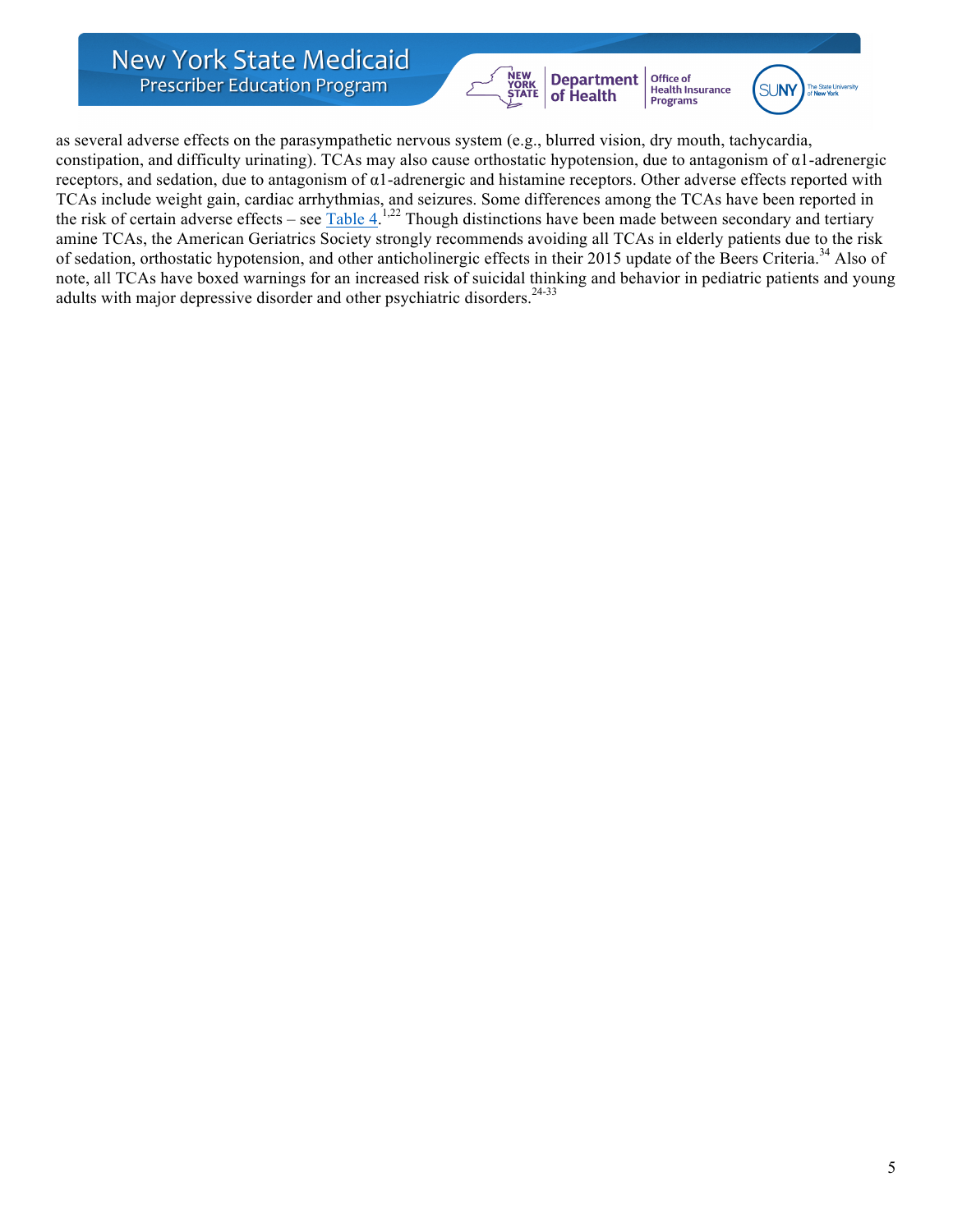**New York State Medicaid Prescriber Education Program** 



Health Insurance<br>Programs



as several adverse effects on the parasympathetic nervous system (e.g., blurred vision, dry mouth, tachycardia, constipation, and difficulty urinating). TCAs may also cause orthostatic hypotension, due to antagonism of  $\alpha$ 1-adrenergic receptors, and sedation, due to antagonism of α1-adrenergic and histamine receptors. Other adverse effects reported with TCAs include weight gain, cardiac arrhythmias, and seizures. Some differences among the TCAs have been reported in the risk of certain adverse effects – see Table 4.<sup>1,22</sup> Though distinctions have been made between secondary and tertiary amine TCAs, the American Geriatrics Society strongly recommends avoiding all TCAs in elderly patients due to the risk of sedation, orthostatic hypotension, and other anticholinergic effects in their 2015 update of the Beers Criteria.<sup>34</sup> Also of note, all TCAs have boxed warnings for an increased risk of suicidal thinking and behavior in pediatric patients and young adults with major depressive disorder and other psychiatric disorders.<sup>24-33</sup>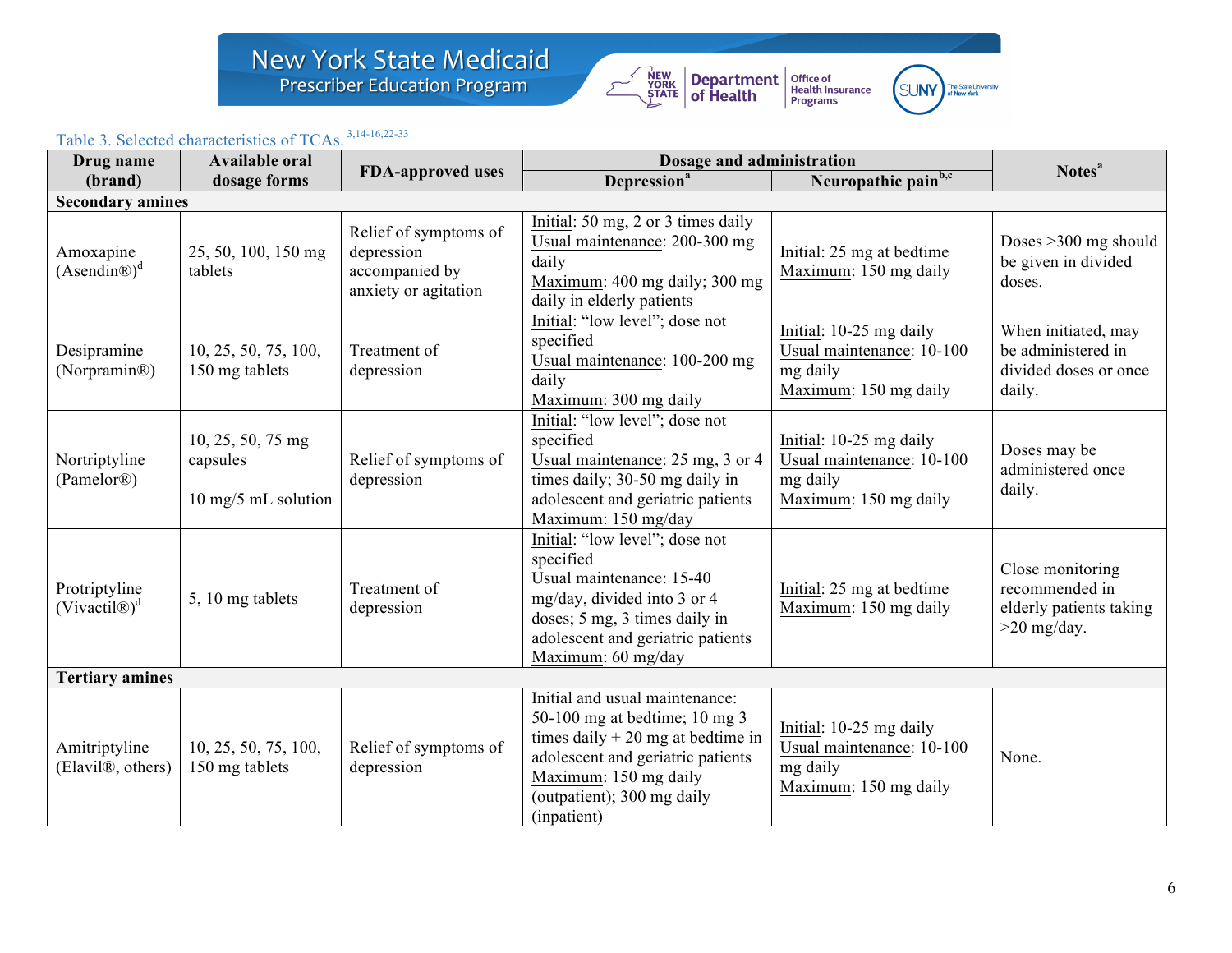# New York State Medicaid<br>Prescriber Education Program





### Table 3. Selected characteristics of TCAs. 3,14-16,22-33

| Drug name                                       | <b>Available oral</b>                                |                                                                               | Dosage and administration                                                                                                                                                                                                                                | Notes <sup>a</sup>                                                                        |                                                                                |  |
|-------------------------------------------------|------------------------------------------------------|-------------------------------------------------------------------------------|----------------------------------------------------------------------------------------------------------------------------------------------------------------------------------------------------------------------------------------------------------|-------------------------------------------------------------------------------------------|--------------------------------------------------------------------------------|--|
| (brand)                                         | dosage forms                                         | <b>FDA-approved uses</b>                                                      | Depression <sup>a</sup>                                                                                                                                                                                                                                  | Neuropathic painb,c                                                                       |                                                                                |  |
| <b>Secondary amines</b>                         |                                                      |                                                                               |                                                                                                                                                                                                                                                          |                                                                                           |                                                                                |  |
| Amoxapine<br>$(Asendin@)^d$                     | 25, 50, 100, 150 mg<br>tablets                       | Relief of symptoms of<br>depression<br>accompanied by<br>anxiety or agitation | Initial: 50 mg, 2 or 3 times daily<br>Usual maintenance: 200-300 mg<br>daily<br>Maximum: 400 mg daily; 300 mg<br>daily in elderly patients                                                                                                               | Initial: 25 mg at bedtime<br>Maximum: 150 mg daily                                        | Doses $>300$ mg should<br>be given in divided<br>doses.                        |  |
| Desipramine<br>(Norpramin®)                     | 10, 25, 50, 75, 100,<br>150 mg tablets               | Treatment of<br>depression                                                    | Initial: "low level"; dose not<br>specified<br>Usual maintenance: 100-200 mg<br>daily<br>Maximum: 300 mg daily                                                                                                                                           | Initial: 10-25 mg daily<br>Usual maintenance: 10-100<br>mg daily<br>Maximum: 150 mg daily | When initiated, may<br>be administered in<br>divided doses or once<br>daily.   |  |
| Nortriptyline<br>(Pamelor®)                     | 10, 25, 50, 75 mg<br>capsules<br>10 mg/5 mL solution | Relief of symptoms of<br>depression                                           | Initial: "low level"; dose not<br>specified<br>Usual maintenance: 25 mg, 3 or 4<br>times daily; 30-50 mg daily in<br>adolescent and geriatric patients<br>Maximum: 150 mg/day                                                                            | Initial: 10-25 mg daily<br>Usual maintenance: 10-100<br>mg daily<br>Maximum: 150 mg daily | Doses may be<br>administered once<br>daily.                                    |  |
| Protriptyline<br>$(Vivactil@)^d$                | 5, 10 mg tablets                                     | Treatment of<br>depression                                                    | Initial: "low level"; dose not<br>specified<br>Usual maintenance: 15-40<br>Initial: 25 mg at bedtime<br>mg/day, divided into 3 or 4<br>Maximum: 150 mg daily<br>doses; 5 mg, 3 times daily in<br>adolescent and geriatric patients<br>Maximum: 60 mg/day |                                                                                           | Close monitoring<br>recommended in<br>elderly patients taking<br>$>20$ mg/day. |  |
| <b>Tertiary amines</b>                          |                                                      |                                                                               |                                                                                                                                                                                                                                                          |                                                                                           |                                                                                |  |
| Amitriptyline<br>(Elavil <sup>®</sup> , others) | 10, 25, 50, 75, 100,<br>150 mg tablets               | Relief of symptoms of<br>depression                                           | Initial and usual maintenance:<br>50-100 mg at bedtime; $10$ mg 3<br>times daily $+20$ mg at bedtime in<br>adolescent and geriatric patients<br>Maximum: 150 mg daily<br>(outpatient); 300 mg daily<br>(inpatient)                                       | Initial: 10-25 mg daily<br>Usual maintenance: 10-100<br>mg daily<br>Maximum: 150 mg daily | None.                                                                          |  |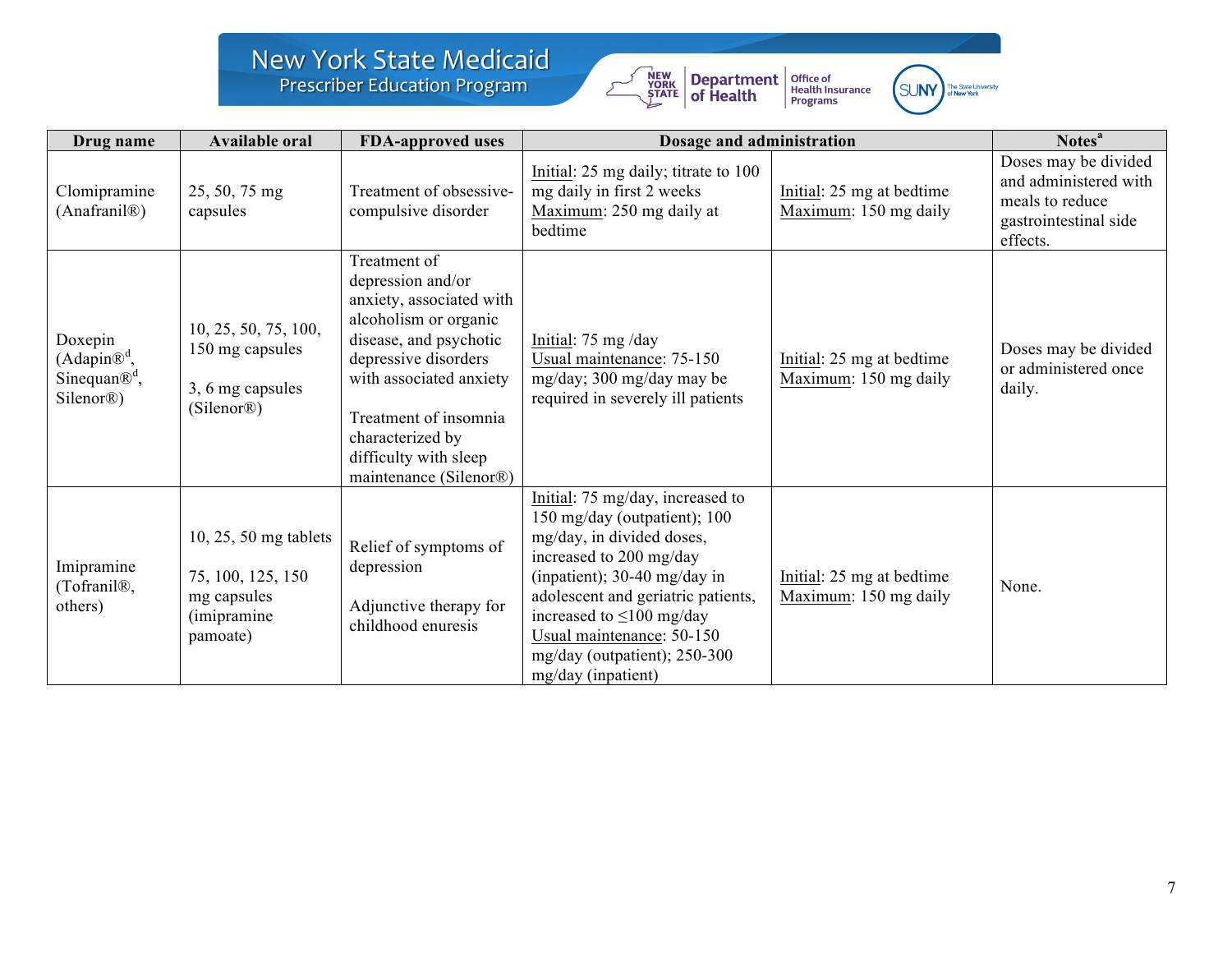## New York State Medicaid<br>Prescriber Education Program





| Drug name                                                                                | <b>Available oral</b>                                                                  | <b>FDA-approved uses</b>                                                                                                                                                                                                                                            | Dosage and administration                                                                                                                                                                                                                                                                                             |                                                    | Notes <sup>a</sup>                                                                                    |
|------------------------------------------------------------------------------------------|----------------------------------------------------------------------------------------|---------------------------------------------------------------------------------------------------------------------------------------------------------------------------------------------------------------------------------------------------------------------|-----------------------------------------------------------------------------------------------------------------------------------------------------------------------------------------------------------------------------------------------------------------------------------------------------------------------|----------------------------------------------------|-------------------------------------------------------------------------------------------------------|
| Clomipramine<br>(Anafranil <sup>®</sup> )                                                | 25, 50, 75 mg<br>capsules                                                              | Treatment of obsessive-<br>compulsive disorder                                                                                                                                                                                                                      | Initial: 25 mg daily; titrate to 100<br>mg daily in first 2 weeks<br>Maximum: 250 mg daily at<br>bedtime                                                                                                                                                                                                              | Initial: 25 mg at bedtime<br>Maximum: 150 mg daily | Doses may be divided<br>and administered with<br>meals to reduce<br>gastrointestinal side<br>effects. |
| Doxepin<br>$(Adapin\mathbb{R}^d,$<br>Sinequan $\mathbb{R}^d$ ,<br>Silenor <sup>®</sup> ) | 10, 25, 50, 75, 100,<br>150 mg capsules<br>3, 6 mg capsules<br>(Silenor <sup>®</sup> ) | Treatment of<br>depression and/or<br>anxiety, associated with<br>alcoholism or organic<br>disease, and psychotic<br>depressive disorders<br>with associated anxiety<br>Treatment of insomnia<br>characterized by<br>difficulty with sleep<br>maintenance (Silenor®) | Initial: 75 mg/day<br>Usual maintenance: 75-150<br>mg/day; 300 mg/day may be<br>required in severely ill patients                                                                                                                                                                                                     | Initial: 25 mg at bedtime<br>Maximum: 150 mg daily | Doses may be divided<br>or administered once<br>daily.                                                |
| Imipramine<br>(Tofranil <sup>®</sup> ,<br>others)                                        | 10, 25, 50 mg tablets<br>75, 100, 125, 150<br>mg capsules<br>(imipramine)<br>pamoate)  | Relief of symptoms of<br>depression<br>Adjunctive therapy for<br>childhood enuresis                                                                                                                                                                                 | Initial: 75 mg/day, increased to<br>150 mg/day (outpatient); 100<br>mg/day, in divided doses,<br>increased to 200 mg/day<br>(inpatient); 30-40 mg/day in<br>adolescent and geriatric patients,<br>increased to $\leq 100$ mg/day<br>Usual maintenance: 50-150<br>mg/day (outpatient); $250-300$<br>mg/day (inpatient) | Initial: 25 mg at bedtime<br>Maximum: 150 mg daily | None.                                                                                                 |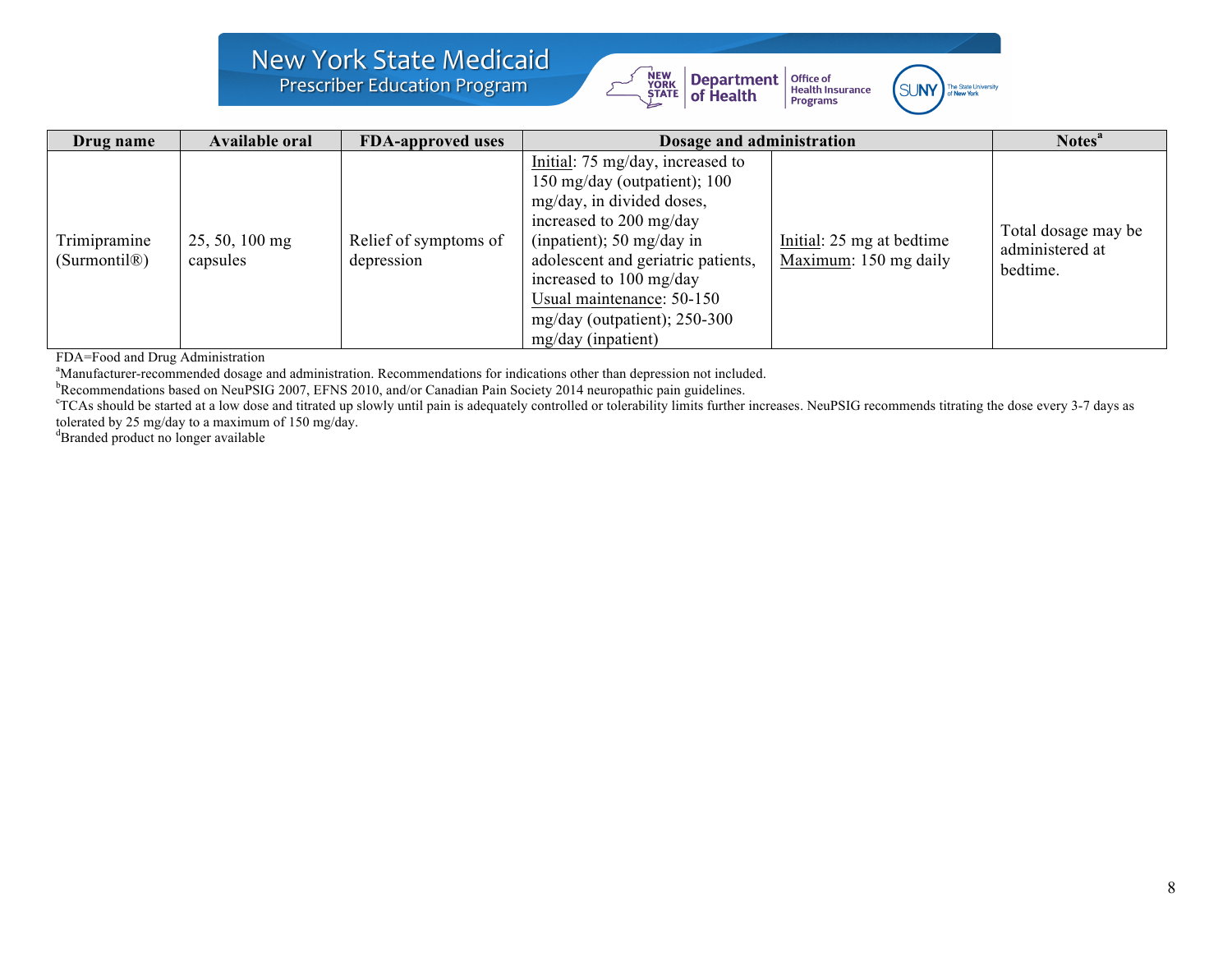### **New York State Medicaid Prescriber Education Program**





| Drug name                                 | <b>Available oral</b>        | <b>FDA-approved uses</b>            | Dosage and administration                                                                                                                                                                                                                                                                                   | Notes <sup>a</sup>                                 |                                                    |
|-------------------------------------------|------------------------------|-------------------------------------|-------------------------------------------------------------------------------------------------------------------------------------------------------------------------------------------------------------------------------------------------------------------------------------------------------------|----------------------------------------------------|----------------------------------------------------|
| Trimipramine<br>(Surmontil <sup>®</sup> ) | $25, 50, 100$ mg<br>capsules | Relief of symptoms of<br>depression | Initial: 75 mg/day, increased to<br>150 mg/day (outpatient); 100<br>mg/day, in divided doses,<br>increased to 200 mg/day<br>(inpatient); 50 mg/day in<br>adolescent and geriatric patients,<br>increased to 100 mg/day<br>Usual maintenance: 50-150<br>mg/day (outpatient); $250-300$<br>mg/day (inpatient) | Initial: 25 mg at bedtime<br>Maximum: 150 mg daily | Total dosage may be<br>administered at<br>bedtime. |

FDA=Food and Drug Administration

<sup>a</sup>Manufacturer-recommended dosage and administration. Recommendations for indications other than depression not included.<br><sup>b</sup>Recommendations based on NouRSIG 2007, EEMS 2010, and/or Canadian Rain Society 2014 nouranathic

Recommendations based on NeuPSIG 2007, EFNS 2010, and/or Canadian Pain Society 2014 neuropathic pain guidelines.

<sup>c</sup>TCAs should be started at a low dose and titrated up slowly until pain is adequately controlled or tolerability limits further increases. NeuPSIG recommends titrating the dose every 3-7 days as tolerated by 25 mg/day to a maximum of 150 mg/day.

d Branded product no longer available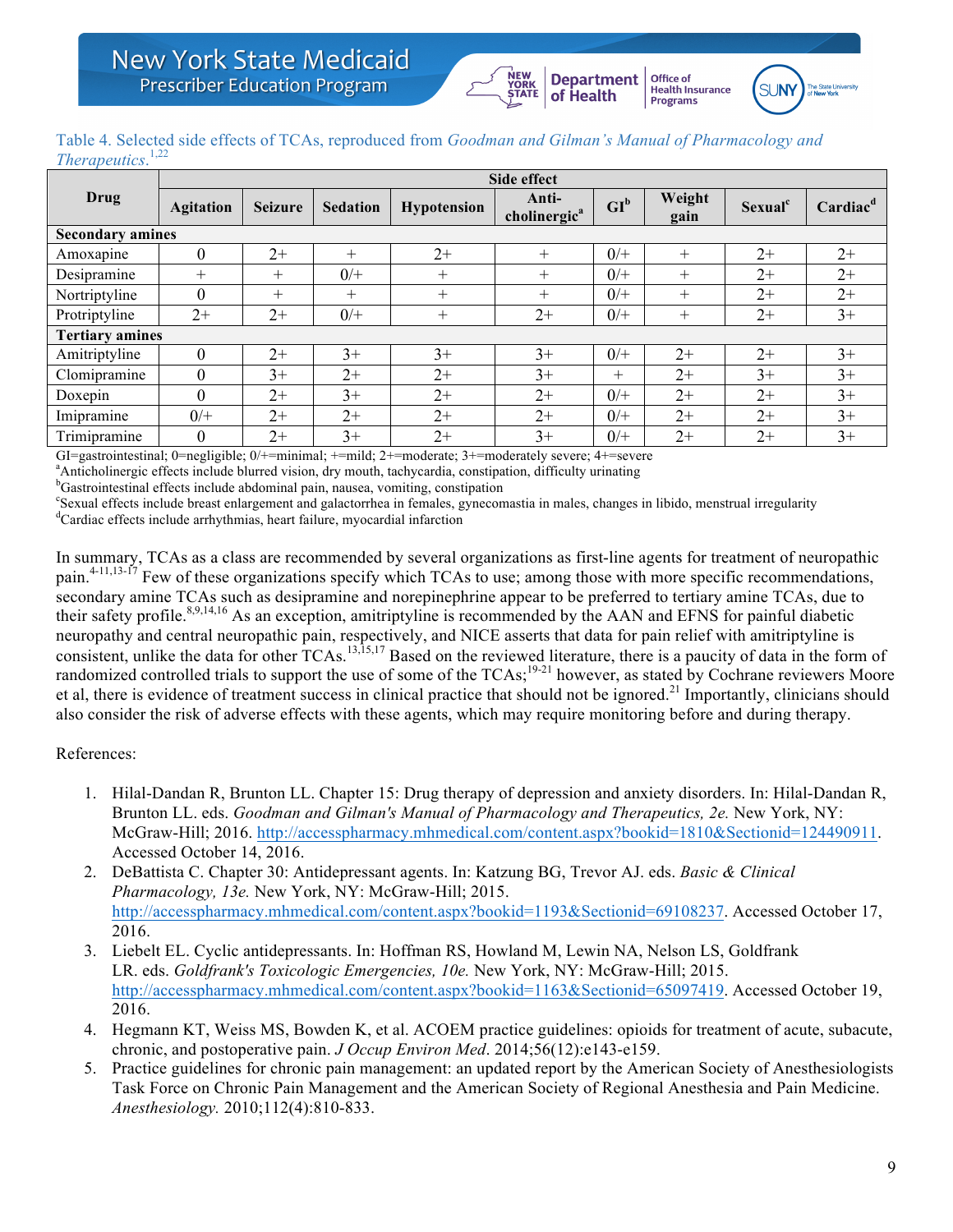## **Health Insurance**<br>Programs Table 4. Selected side effects of TCAs, reproduced from *Goodman and Gilman's Manual of Pharmacology and*

Office of

**Department** 

of Health

| <i>Therapeutics.</i> <sup>1,22</sup> |                  |                |                 |                    |                                   |        |                |                     |                      |
|--------------------------------------|------------------|----------------|-----------------|--------------------|-----------------------------------|--------|----------------|---------------------|----------------------|
|                                      | Side effect      |                |                 |                    |                                   |        |                |                     |                      |
| Drug                                 | <b>Agitation</b> | <b>Seizure</b> | <b>Sedation</b> | <b>Hypotension</b> | Anti-<br>cholinergic <sup>a</sup> | $GI^b$ | Weight<br>gain | Sexual <sup>c</sup> | Cardiac <sup>d</sup> |
| <b>Secondary amines</b>              |                  |                |                 |                    |                                   |        |                |                     |                      |
| Amoxapine                            | $\theta$         | $2+$           | $^{+}$          | $2+$               | $^{+}$                            | $0/+$  | $^{+}$         | $2+$                | $2+$                 |
| Desipramine                          | $^{+}$           | $^{+}$         | $0/+$           | $^{+}$             | $+$                               | $0/+$  | $^{+}$         | $2+$                | $2+$                 |
| Nortriptyline                        | $\theta$         | $+$            | $^{+}$          | $+$                | $+$                               | $0/+$  | $^{+}$         | $2+$                | $2+$                 |
| Protriptyline                        | $2+$             | $2+$           | $0/+$           | $^{+}$             | $2+$                              | $0/+$  | $^{+}$         | $2+$                | $3+$                 |
| <b>Tertiary amines</b>               |                  |                |                 |                    |                                   |        |                |                     |                      |
| Amitriptyline                        | $\theta$         | $2+$           | $3+$            | $3+$               | $3+$                              | $0/+$  | $2+$           | $2+$                | $3+$                 |
| Clomipramine                         | $\Omega$         | $3+$           | $2+$            | $2+$               | $3+$                              | $+$    | $2+$           | $3+$                | $3+$                 |
| Doxepin                              | $\theta$         | $2+$           | $3+$            | $2+$               | $2+$                              | $0/+$  | $2+$           | $2+$                | $3+$                 |
| Imipramine                           | $0/+$            | $2+$           | $2+$            | $2+$               | $2+$                              | $0/+$  | $2+$           | $2+$                | $3+$                 |
| Trimipramine                         | $\theta$         | $2+$           | $3+$            | $2+$               | $3+$                              | $0/+$  | $2+$           | $2+$                | $3+$                 |

GI=gastrointestinal; 0=negligible; 0/+=minimal; +=mild; 2+=moderate; 3+=moderately severe; 4+=severe

<sup>a</sup>Anticholinergic effects include blurred vision, dry mouth, tachycardia, constipation, difficulty urinating

 $b$ Gastrointestinal effects include abdominal pain, nausea, vomiting, constipation

Sexual effects include breast enlargement and galactorrhea in females, gynecomastia in males, changes in libido, menstrual irregularity Cardiac effects include arrhythmias, heart failure, myocardial infarction

In summary, TCAs as a class are recommended by several organizations as first-line agents for treatment of neuropathic pain.<sup>4-11,13-17</sup> Few of these organizations specify which TCAs to use; among those with more specific recommendations, secondary amine TCAs such as desipramine and norepinephrine appear to be preferred to tertiary amine TCAs, due to their safety profile.<sup>8,9,14,16</sup> As an exception, amitriptyline is recommended by the AAN and EFNS for painful diabetic neuropathy and central neuropathic pain, respectively, and NICE asserts that data for pain relief with amitriptyline is consistent, unlike the data for other TCAs.<sup>13,15,17</sup> Based on the reviewed literature, there is a paucity of data in the form of randomized controlled trials to support the use of some of the  $TCAs$ ;  $^{19-21}$  however, as stated by Cochrane reviewers Moore et al, there is evidence of treatment success in clinical practice that should not be ignored.<sup>21</sup> Importantly, clinicians should also consider the risk of adverse effects with these agents, which may require monitoring before and during therapy.

### References:

- 1. Hilal-Dandan R, Brunton LL. Chapter 15: Drug therapy of depression and anxiety disorders. In: Hilal-Dandan R, Brunton LL. eds. *Goodman and Gilman's Manual of Pharmacology and Therapeutics, 2e.* New York, NY: McGraw-Hill; 2016. http://accesspharmacy.mhmedical.com/content.aspx?bookid=1810&Sectionid=124490911. Accessed October 14, 2016.
- 2. DeBattista C. Chapter 30: Antidepressant agents. In: Katzung BG, Trevor AJ. eds. *Basic & Clinical Pharmacology, 13e.* New York, NY: McGraw-Hill; 2015. http://accesspharmacy.mhmedical.com/content.aspx?bookid=1193&Sectionid=69108237. Accessed October 17, 2016.
- 3. Liebelt EL. Cyclic antidepressants. In: Hoffman RS, Howland M, Lewin NA, Nelson LS, Goldfrank LR. eds. *Goldfrank's Toxicologic Emergencies, 10e.* New York, NY: McGraw-Hill; 2015. http://accesspharmacy.mhmedical.com/content.aspx?bookid=1163&Sectionid=65097419. Accessed October 19, 2016.
- 4. Hegmann KT, Weiss MS, Bowden K, et al. ACOEM practice guidelines: opioids for treatment of acute, subacute, chronic, and postoperative pain. *J Occup Environ Med*. 2014;56(12):e143-e159.
- 5. Practice guidelines for chronic pain management: an updated report by the American Society of Anesthesiologists Task Force on Chronic Pain Management and the American Society of Regional Anesthesia and Pain Medicine. *Anesthesiology.* 2010;112(4):810-833.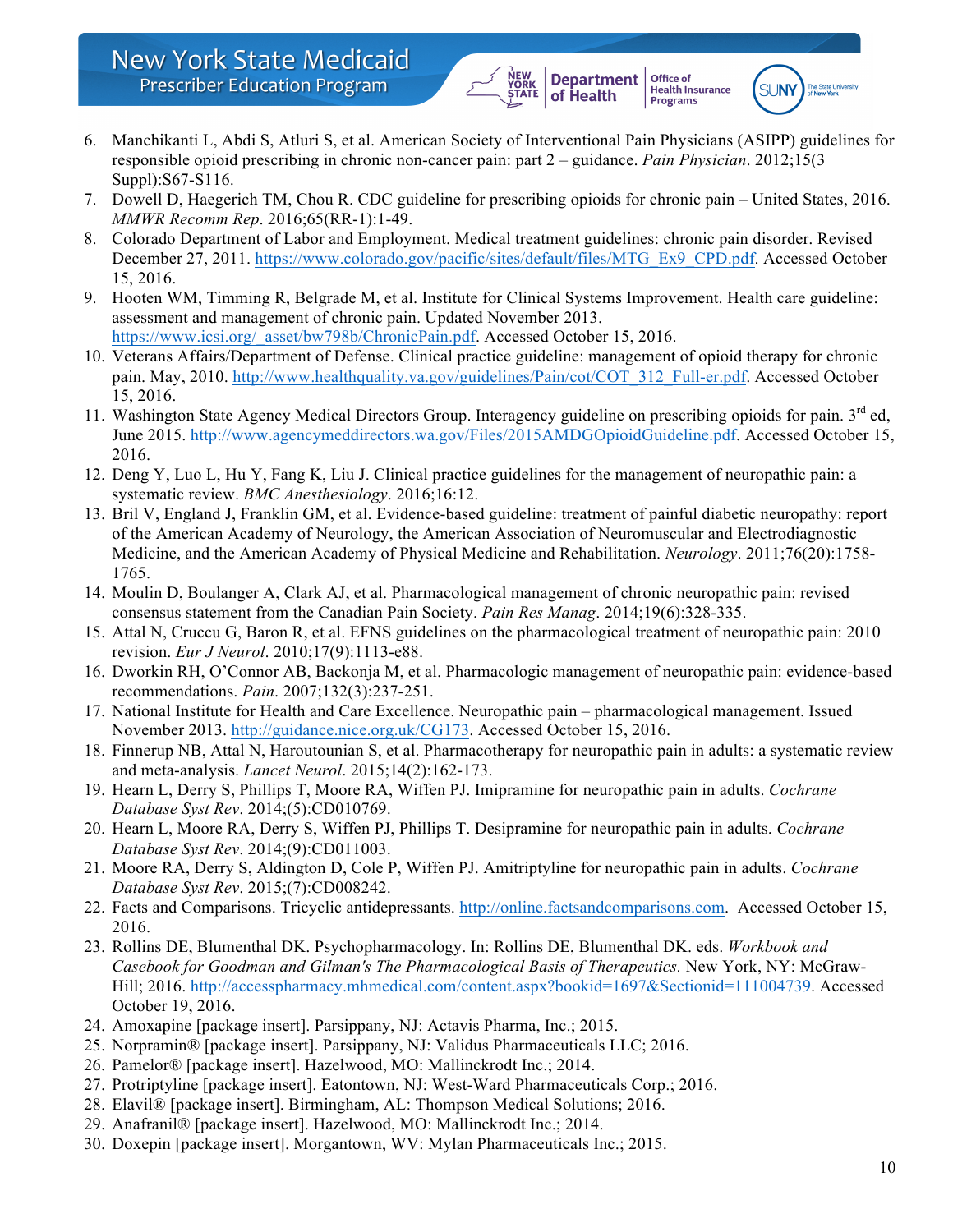6. Manchikanti L, Abdi S, Atluri S, et al. American Society of Interventional Pain Physicians (ASIPP) guidelines for responsible opioid prescribing in chronic non-cancer pain: part 2 – guidance. *Pain Physician*. 2012;15(3 Suppl):S67-S116.

YORK<br>STATE

**Department** 

of Health

**Office of** 

**Health Insurance**<br>Programs

 $SI$  INV

- 7. Dowell D, Haegerich TM, Chou R. CDC guideline for prescribing opioids for chronic pain United States, 2016. *MMWR Recomm Rep*. 2016;65(RR-1):1-49.
- 8. Colorado Department of Labor and Employment. Medical treatment guidelines: chronic pain disorder. Revised December 27, 2011. https://www.colorado.gov/pacific/sites/default/files/MTG\_Ex9\_CPD.pdf. Accessed October 15, 2016.
- 9. Hooten WM, Timming R, Belgrade M, et al. Institute for Clinical Systems Improvement. Health care guideline: assessment and management of chronic pain. Updated November 2013. https://www.icsi.org/\_asset/bw798b/ChronicPain.pdf. Accessed October 15, 2016.
- 10. Veterans Affairs/Department of Defense. Clinical practice guideline: management of opioid therapy for chronic pain. May, 2010. http://www.healthquality.va.gov/guidelines/Pain/cot/COT\_312\_Full-er.pdf. Accessed October 15, 2016.
- 11. Washington State Agency Medical Directors Group. Interagency guideline on prescribing opioids for pain.  $3<sup>rd</sup>$  ed, June 2015. http://www.agencymeddirectors.wa.gov/Files/2015AMDGOpioidGuideline.pdf. Accessed October 15, 2016.
- 12. Deng Y, Luo L, Hu Y, Fang K, Liu J. Clinical practice guidelines for the management of neuropathic pain: a systematic review. *BMC Anesthesiology*. 2016;16:12.
- 13. Bril V, England J, Franklin GM, et al. Evidence-based guideline: treatment of painful diabetic neuropathy: report of the American Academy of Neurology, the American Association of Neuromuscular and Electrodiagnostic Medicine, and the American Academy of Physical Medicine and Rehabilitation. *Neurology*. 2011;76(20):1758- 1765.
- 14. Moulin D, Boulanger A, Clark AJ, et al. Pharmacological management of chronic neuropathic pain: revised consensus statement from the Canadian Pain Society. *Pain Res Manag*. 2014;19(6):328-335.
- 15. Attal N, Cruccu G, Baron R, et al. EFNS guidelines on the pharmacological treatment of neuropathic pain: 2010 revision. *Eur J Neurol*. 2010;17(9):1113-e88.
- 16. Dworkin RH, O'Connor AB, Backonja M, et al. Pharmacologic management of neuropathic pain: evidence-based recommendations. *Pain*. 2007;132(3):237-251.
- 17. National Institute for Health and Care Excellence. Neuropathic pain pharmacological management. Issued November 2013. http://guidance.nice.org.uk/CG173. Accessed October 15, 2016.
- 18. Finnerup NB, Attal N, Haroutounian S, et al. Pharmacotherapy for neuropathic pain in adults: a systematic review and meta-analysis. *Lancet Neurol*. 2015;14(2):162-173.
- 19. Hearn L, Derry S, Phillips T, Moore RA, Wiffen PJ. Imipramine for neuropathic pain in adults. *Cochrane Database Syst Rev*. 2014;(5):CD010769.
- 20. Hearn L, Moore RA, Derry S, Wiffen PJ, Phillips T. Desipramine for neuropathic pain in adults. *Cochrane Database Syst Rev*. 2014;(9):CD011003.
- 21. Moore RA, Derry S, Aldington D, Cole P, Wiffen PJ. Amitriptyline for neuropathic pain in adults. *Cochrane Database Syst Rev*. 2015;(7):CD008242.
- 22. Facts and Comparisons. Tricyclic antidepressants. http://online.factsandcomparisons.com. Accessed October 15, 2016.
- 23. Rollins DE, Blumenthal DK. Psychopharmacology. In: Rollins DE, Blumenthal DK. eds. *Workbook and Casebook for Goodman and Gilman's The Pharmacological Basis of Therapeutics.* New York, NY: McGraw-Hill; 2016. http://accesspharmacy.mhmedical.com/content.aspx?bookid=1697&Sectionid=111004739. Accessed October 19, 2016.
- 24. Amoxapine [package insert]. Parsippany, NJ: Actavis Pharma, Inc.; 2015.
- 25. Norpramin® [package insert]. Parsippany, NJ: Validus Pharmaceuticals LLC; 2016.
- 26. Pamelor® [package insert]. Hazelwood, MO: Mallinckrodt Inc.; 2014.
- 27. Protriptyline [package insert]. Eatontown, NJ: West-Ward Pharmaceuticals Corp.; 2016.
- 28. Elavil® [package insert]. Birmingham, AL: Thompson Medical Solutions; 2016.
- 29. Anafranil® [package insert]. Hazelwood, MO: Mallinckrodt Inc.; 2014.
- 30. Doxepin [package insert]. Morgantown, WV: Mylan Pharmaceuticals Inc.; 2015.